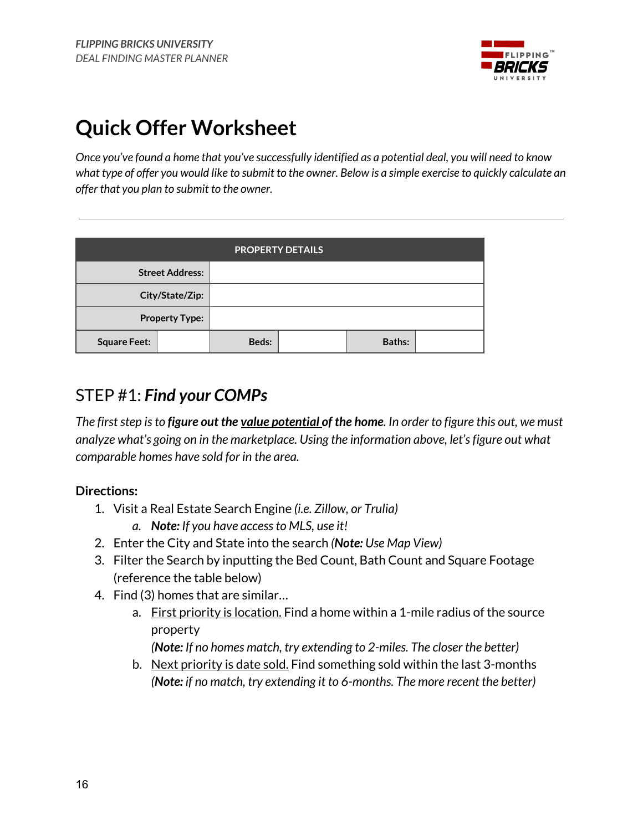

# **Quick Offer Worksheet**

Once you've found a home that you've successfully identified as a potential deal, you will need to know what type of offer you would like to submit to the owner. Below is a simple exercise to quickly calculate an *offer that you plan to submit to the owner.*

| <b>PROPERTY DETAILS</b> |                        |       |  |               |  |
|-------------------------|------------------------|-------|--|---------------|--|
|                         | <b>Street Address:</b> |       |  |               |  |
| City/State/Zip:         |                        |       |  |               |  |
| <b>Property Type:</b>   |                        |       |  |               |  |
| <b>Square Feet:</b>     |                        | Beds: |  | <b>Baths:</b> |  |

## STEP #1: *Find your COMPs*

The first step is to figure out the value potential of the home. In order to figure this out, we must *analyze what's going on in the marketplace. Using the information above, let'sfigure out what comparable homes have sold for in the area.*

#### **Directions:**

- 1. Visit a Real Estate Search Engine *(i.e. Zillow, or Trulia)*
	- *a. Note: If you have accessto MLS, use it!*
- 2. Enter the City and State into the search *(Note: Use Map View)*
- 3. Filter the Search by inputting the Bed Count, Bath Count and Square Footage (reference the table below)
- 4. Find (3) homes that are similar…
	- a. First priority is location. Find a home within a 1-mile radius of the source property
		- *(Note: If no homes match, try extending to 2-miles. The closer the better)*
	- b. Next priority is date sold. Find something sold within the last 3-months *(Note: if no match, try extending it to 6-months. The more recent the better)*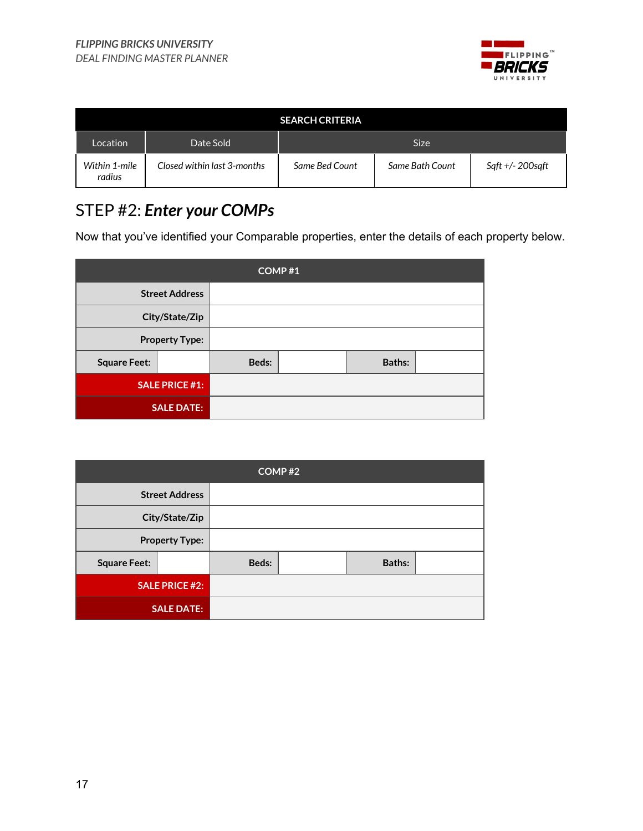

|                         |                             | <b>SEARCH CRITERIA</b> |                 |                  |
|-------------------------|-----------------------------|------------------------|-----------------|------------------|
| Location                | Date Sold                   |                        | <b>Size</b>     |                  |
| Within 1-mile<br>radius | Closed within last 3-months | Same Bed Count         | Same Bath Count | Sqft +/- 200sqft |

# STEP #2: *Enter your COMPs*

Now that you've identified your Comparable properties, enter the details of each property below.

| COMP#1                |  |       |  |        |  |
|-----------------------|--|-------|--|--------|--|
| <b>Street Address</b> |  |       |  |        |  |
| City/State/Zip        |  |       |  |        |  |
| <b>Property Type:</b> |  |       |  |        |  |
| <b>Square Feet:</b>   |  | Beds: |  | Baths: |  |
| <b>SALE PRICE #1:</b> |  |       |  |        |  |
| <b>SALE DATE:</b>     |  |       |  |        |  |

| COMP#2                |  |       |  |               |  |
|-----------------------|--|-------|--|---------------|--|
| <b>Street Address</b> |  |       |  |               |  |
| City/State/Zip        |  |       |  |               |  |
| <b>Property Type:</b> |  |       |  |               |  |
| <b>Square Feet:</b>   |  | Beds: |  | <b>Baths:</b> |  |
| <b>SALE PRICE #2:</b> |  |       |  |               |  |
| <b>SALE DATE:</b>     |  |       |  |               |  |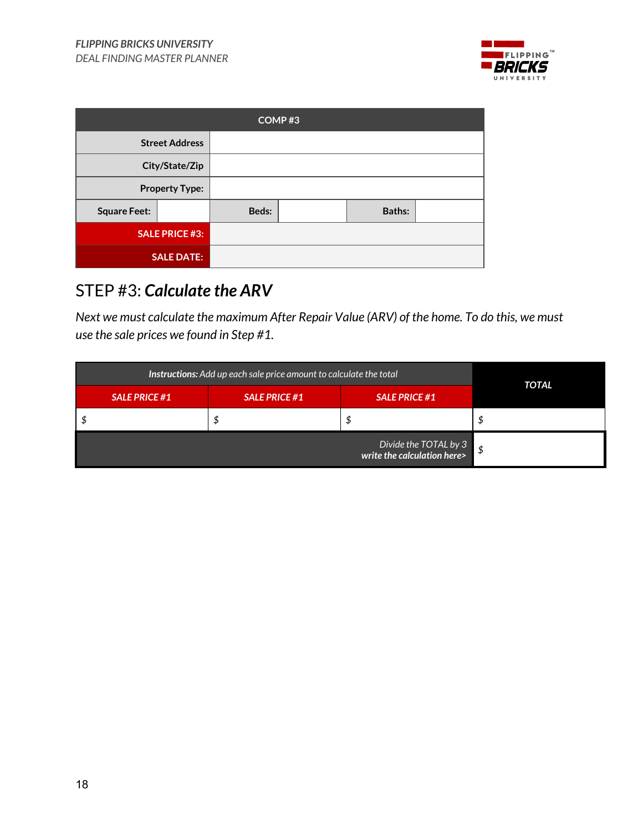

| COMP#3                |  |       |  |               |  |
|-----------------------|--|-------|--|---------------|--|
| <b>Street Address</b> |  |       |  |               |  |
| City/State/Zip        |  |       |  |               |  |
| <b>Property Type:</b> |  |       |  |               |  |
| <b>Square Feet:</b>   |  | Beds: |  | <b>Baths:</b> |  |
| <b>SALE PRICE #3:</b> |  |       |  |               |  |
| <b>SALE DATE:</b>     |  |       |  |               |  |

## STEP #3: *Calculate the ARV*

*Next we must calculate the maximum After Repair Value (ARV) of the home. To do this, we must use the sale prices we found in Step #1.*

| Instructions: Add up each sale price amount to calculate the total | <b>TOTAL</b>         |                                                      |  |
|--------------------------------------------------------------------|----------------------|------------------------------------------------------|--|
| <b>SALE PRICE #1</b>                                               | <b>SALE PRICE #1</b> | <b>SALE PRICE #1</b>                                 |  |
|                                                                    |                      | ₽                                                    |  |
|                                                                    |                      | Divide the TOTAL by 3<br>write the calculation here> |  |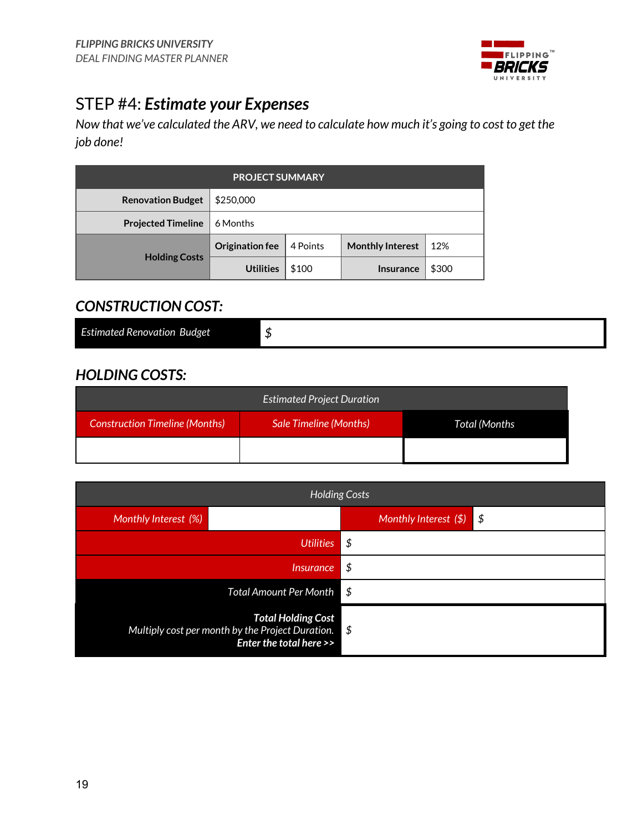

# STEP #4: *Estimate your Expenses*

Now that we've calculated the ARV, we need to calculate how much it's going to cost to get the *job done!*

| <b>PROJECT SUMMARY</b>    |                  |          |                         |       |
|---------------------------|------------------|----------|-------------------------|-------|
| <b>Renovation Budget</b>  | \$250,000        |          |                         |       |
| <b>Projected Timeline</b> | 6 Months         |          |                         |       |
|                           | Origination fee  | 4 Points | <b>Monthly Interest</b> | 12%   |
| <b>Holding Costs</b>      | <b>Utilities</b> | \$100    | Insurance               | \$300 |

#### *CONSTRUCTION COST:*

| <b>Estimated Renovation Budget</b> |  |
|------------------------------------|--|
|------------------------------------|--|

#### *HOLDING COSTS:*

|                                       | <b>Estimated Project Duration</b> |                      |
|---------------------------------------|-----------------------------------|----------------------|
| <b>Construction Timeline (Months)</b> | Sale Timeline (Months)            | <b>Total (Months</b> |
|                                       |                                   |                      |

| <b>Holding Costs</b>                                                                                         |                           |     |                                     |  |
|--------------------------------------------------------------------------------------------------------------|---------------------------|-----|-------------------------------------|--|
| Monthly Interest (%)                                                                                         |                           |     | Monthly Interest $(\frac{2}{3})$ \$ |  |
|                                                                                                              | <b>Utilities</b>          | -\$ |                                     |  |
| <i>Insurance</i>                                                                                             |                           | -\$ |                                     |  |
|                                                                                                              | Total Amount Per Month \$ |     |                                     |  |
| <b>Total Holding Cost</b><br>Multiply cost per month by the Project Duration. $$$<br>Enter the total here >> |                           |     |                                     |  |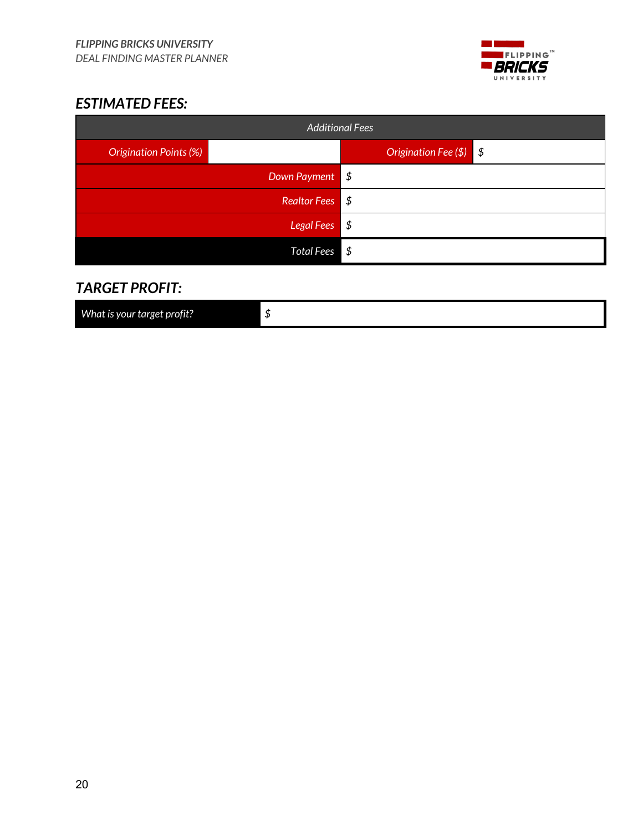

### *ESTIMATED FEES:*

|                               | <b>Additional Fees</b> |                            |  |  |  |
|-------------------------------|------------------------|----------------------------|--|--|--|
| <b>Origination Points (%)</b> |                        | Origination Fee $(\$)$ $$$ |  |  |  |
|                               | Down Payment \$        |                            |  |  |  |
| Realtor Fees \$               |                        |                            |  |  |  |
|                               | Legal Fees $$$         |                            |  |  |  |
| Total Fees \$                 |                        |                            |  |  |  |

#### *TARGET PROFIT:*

| What is your target profit? | . |
|-----------------------------|---|
|                             |   |